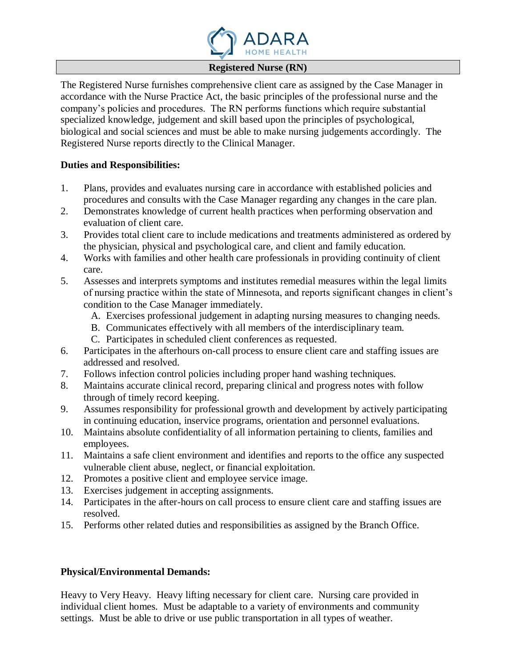

## **Registered Nurse (RN)**

The Registered Nurse furnishes comprehensive client care as assigned by the Case Manager in accordance with the Nurse Practice Act, the basic principles of the professional nurse and the company's policies and procedures. The RN performs functions which require substantial specialized knowledge, judgement and skill based upon the principles of psychological, biological and social sciences and must be able to make nursing judgements accordingly. The Registered Nurse reports directly to the Clinical Manager.

## **Duties and Responsibilities:**

- 1. Plans, provides and evaluates nursing care in accordance with established policies and procedures and consults with the Case Manager regarding any changes in the care plan.
- 2. Demonstrates knowledge of current health practices when performing observation and evaluation of client care.
- 3. Provides total client care to include medications and treatments administered as ordered by the physician, physical and psychological care, and client and family education.
- 4. Works with families and other health care professionals in providing continuity of client care.
- 5. Assesses and interprets symptoms and institutes remedial measures within the legal limits of nursing practice within the state of Minnesota, and reports significant changes in client's condition to the Case Manager immediately.
	- A. Exercises professional judgement in adapting nursing measures to changing needs.
	- B. Communicates effectively with all members of the interdisciplinary team.
	- C. Participates in scheduled client conferences as requested.
- 6. Participates in the afterhours on-call process to ensure client care and staffing issues are addressed and resolved.
- 7. Follows infection control policies including proper hand washing techniques.
- 8. Maintains accurate clinical record, preparing clinical and progress notes with follow through of timely record keeping.
- 9. Assumes responsibility for professional growth and development by actively participating in continuing education, inservice programs, orientation and personnel evaluations.
- 10. Maintains absolute confidentiality of all information pertaining to clients, families and employees.
- 11. Maintains a safe client environment and identifies and reports to the office any suspected vulnerable client abuse, neglect, or financial exploitation.
- 12. Promotes a positive client and employee service image.
- 13. Exercises judgement in accepting assignments.
- 14. Participates in the after-hours on call process to ensure client care and staffing issues are resolved.
- 15. Performs other related duties and responsibilities as assigned by the Branch Office.

## **Physical/Environmental Demands:**

Heavy to Very Heavy. Heavy lifting necessary for client care. Nursing care provided in individual client homes. Must be adaptable to a variety of environments and community settings. Must be able to drive or use public transportation in all types of weather.